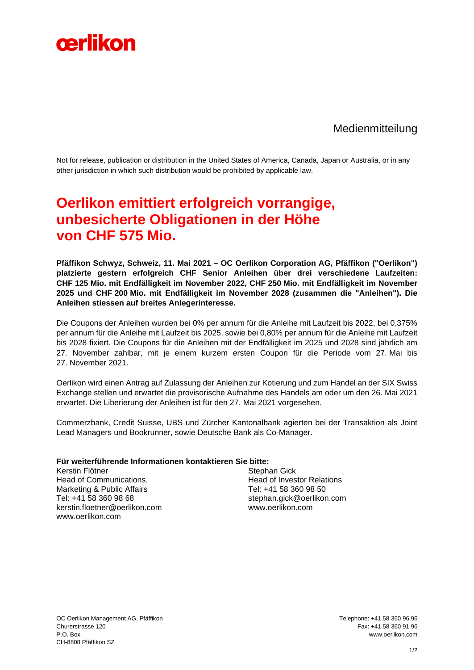

Medienmitteilung

Not for release, publication or distribution in the United States of America, Canada, Japan or Australia, or in any other jurisdiction in which such distribution would be prohibited by applicable law.

## **Oerlikon emittiert erfolgreich vorrangige, unbesicherte Obligationen in der Höhe von CHF 575 Mio.**

**Pfäffikon Schwyz, Schweiz, 11. Mai 2021 – OC Oerlikon Corporation AG, Pfäffikon ("Oerlikon") platzierte gestern erfolgreich CHF Senior Anleihen über drei verschiedene Laufzeiten: CHF 125 Mio. mit Endfälligkeit im November 2022, CHF 250 Mio. mit Endfälligkeit im November 2025 und CHF 200 Mio. mit Endfälligkeit im November 2028 (zusammen die "Anleihen"). Die Anleihen stiessen auf breites Anlegerinteresse.** 

Die Coupons der Anleihen wurden bei 0% per annum für die Anleihe mit Laufzeit bis 2022, bei 0,375% per annum für die Anleihe mit Laufzeit bis 2025, sowie bei 0,80% per annum für die Anleihe mit Laufzeit bis 2028 fixiert. Die Coupons für die Anleihen mit der Endfälligkeit im 2025 und 2028 sind jährlich am 27. November zahlbar, mit je einem kurzem ersten Coupon für die Periode vom 27. Mai bis 27. November 2021.

Oerlikon wird einen Antrag auf Zulassung der Anleihen zur Kotierung und zum Handel an der SIX Swiss Exchange stellen und erwartet die provisorische Aufnahme des Handels am oder um den 26. Mai 2021 erwartet. Die Liberierung der Anleihen ist für den 27. Mai 2021 vorgesehen.

Commerzbank, Credit Suisse, UBS und Zürcher Kantonalbank agierten bei der Transaktion als Joint Lead Managers und Bookrunner, sowie Deutsche Bank als Co-Manager.

## **Für weiterführende Informationen kontaktieren Sie bitte:**

Kerstin Flötner Head of Communications, Marketing & Public Affairs Tel: +41 58 360 98 68 kerstin.floetner@oerlikon.com [www.oerlikon.com](http://www.oerlikon.com/)

Stephan Gick Head of Investor Relations Tel: +41 58 360 98 50 stephan.gick@oerlikon.com www.oerlikon.com